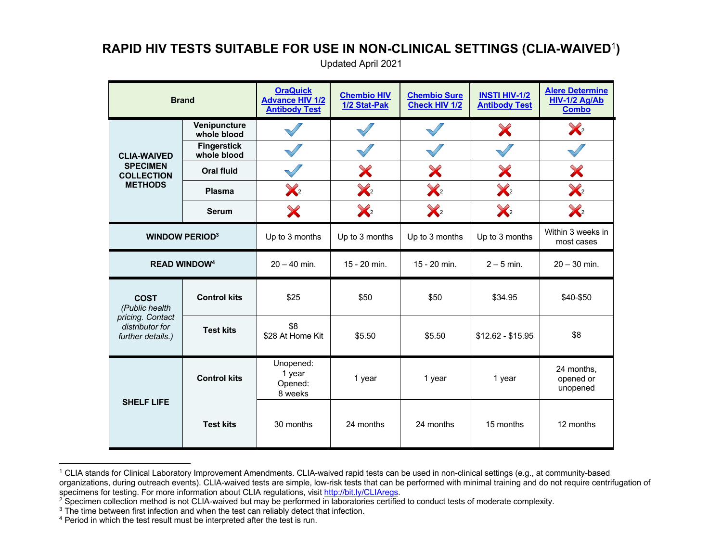## **RAPID HIV TESTS SUITABLE FOR USE IN NON-CLINICAL SETTINGS (CLIA-WAIVED**<sup>1</sup>**)**

Updated April 2021

| <b>Brand</b>                                                                              |                                   | <b>OraQuick</b><br><b>Advance HIV 1/2</b><br><b>Antibody Test</b> | <b>Chembio HIV</b><br>1/2 Stat-Pak | <b>Chembio Sure</b><br><b>Check HIV 1/2</b> | <b>INSTI HIV-1/2</b><br><b>Antibody Test</b> | <b>Alere Determine</b><br>HIV-1/2 Ag/Ab<br><b>Combo</b> |
|-------------------------------------------------------------------------------------------|-----------------------------------|-------------------------------------------------------------------|------------------------------------|---------------------------------------------|----------------------------------------------|---------------------------------------------------------|
| <b>CLIA-WAIVED</b><br><b>SPECIMEN</b><br><b>COLLECTION</b><br><b>METHODS</b>              | Venipuncture<br>whole blood       |                                                                   |                                    |                                             | X                                            | $\mathbb{X}_2$                                          |
|                                                                                           | <b>Fingerstick</b><br>whole blood |                                                                   |                                    |                                             |                                              |                                                         |
|                                                                                           | <b>Oral fluid</b>                 |                                                                   | X                                  | X                                           | X                                            | X                                                       |
|                                                                                           | Plasma                            | $\chi$                                                            | $\chi_{2}$                         | $\chi$                                      | $\chi$                                       | $\chi_{2}$                                              |
|                                                                                           | <b>Serum</b>                      | X                                                                 | $\chi_{2}$                         | $\mathbb{X}_2$                              | $\chi$                                       | $\mathbb{X}_2$                                          |
| <b>WINDOW PERIOD3</b>                                                                     |                                   | Up to 3 months                                                    | Up to 3 months                     | Up to 3 months                              | Up to 3 months                               | Within 3 weeks in<br>most cases                         |
| <b>READ WINDOW4</b>                                                                       |                                   | $20 - 40$ min.                                                    | 15 - 20 min.                       | 15 - 20 min.                                | $2 - 5$ min.                                 | $20 - 30$ min.                                          |
| <b>COST</b><br>(Public health<br>pricing. Contact<br>distributor for<br>further details.) | <b>Control kits</b>               | \$25                                                              | \$50                               | \$50                                        | \$34.95                                      | \$40-\$50                                               |
|                                                                                           | <b>Test kits</b>                  | \$8<br>\$28 At Home Kit                                           | \$5.50                             | \$5.50                                      | $$12.62 - $15.95$                            | \$8                                                     |
| <b>SHELF LIFE</b>                                                                         | <b>Control kits</b>               | Unopened:<br>1 year<br>Opened:<br>8 weeks                         | 1 year                             | 1 year                                      | 1 year                                       | 24 months,<br>opened or<br>unopened                     |
|                                                                                           | <b>Test kits</b>                  | 30 months                                                         | 24 months                          | 24 months                                   | 15 months                                    | 12 months                                               |

<sup>1</sup> CLIA stands for Clinical Laboratory Improvement Amendments. CLIA-waived rapid tests can be used in non-clinical settings (e.g., at community-based organizations, during outreach events). CLIA-waived tests are simple, low-risk tests that can be performed with minimal training and do not require centrifugation of specimens for testing. For more information about CLIA r

 $2$  Specimen collection method is not CLIA-waived but may be performed in laboratories certified to conduct tests of moderate complexity.<br><sup>3</sup> The time between first infection and when the test can reliably detect that inf

<sup>&</sup>lt;sup>4</sup> Period in which the test result must be interpreted after the test is run.